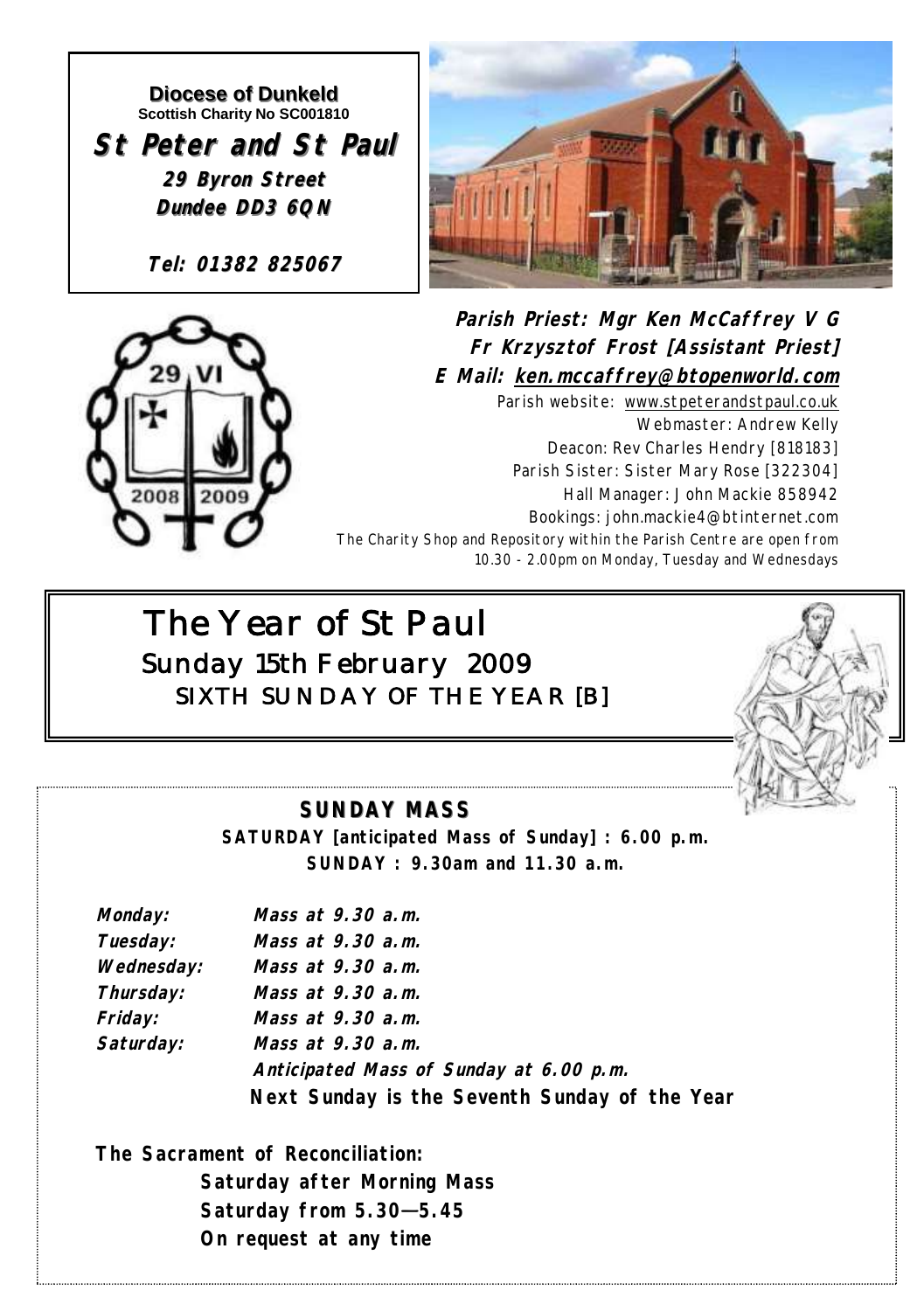#### **Diocese of Dunkeld Scottish Charity No SC001810**

**St Peter and St Paul 29 Byron Street Dundee DD3 6QN**

**Tel: 01382 825067**





**Parish Priest: Mgr Ken McCaffrey V G Fr Krzysztof Frost [Assistant Priest] E Mail: ken.mccaffrey@btopenworld.com** Parish website: www.stpeterandstpaul.co.uk Webmaster: Andrew Kelly Deacon: Rev Charles Hendry [818183] Parish Sister: Sister Mary Rose [322304] Hall Manager: John Mackie 858942 Bookings: john.mackie4@btinternet.com The Charity Shop and Repository within the Parish Centre are open from 10.30 - 2.00pm on Monday, Tuesday and Wednesdays

# *The Year of St Paul Sunday 15th February 2009 SIXTH SUNDAY OF THE YEAR [B]*



## **SUNDAY MASS**

**SATURDAY [anticipated Mass of Sunday] : 6.00 p.m. SUNDAY : 9.30am and 11.30 a.m.**

| Monday:    | Mass at 9.30 a.m.                             |
|------------|-----------------------------------------------|
| Tuesday:   | Mass at 9.30 a.m.                             |
| Wednesday: | Mass at 9,30 a.m.                             |
| Thursday:  | Mass at 9,30 a.m.                             |
| Friday:    | Mass at 9,30 a.m.                             |
| Saturday:  | Mass at 9,30 a.m.                             |
|            | Anticipated Mass of Sunday at 6.00 p.m.       |
|            | Next Sunday is the Seventh Sunday of the Year |

**The Sacrament of Reconciliation: Saturday after Morning Mass Saturday from 5.30—5.45 On request at any time**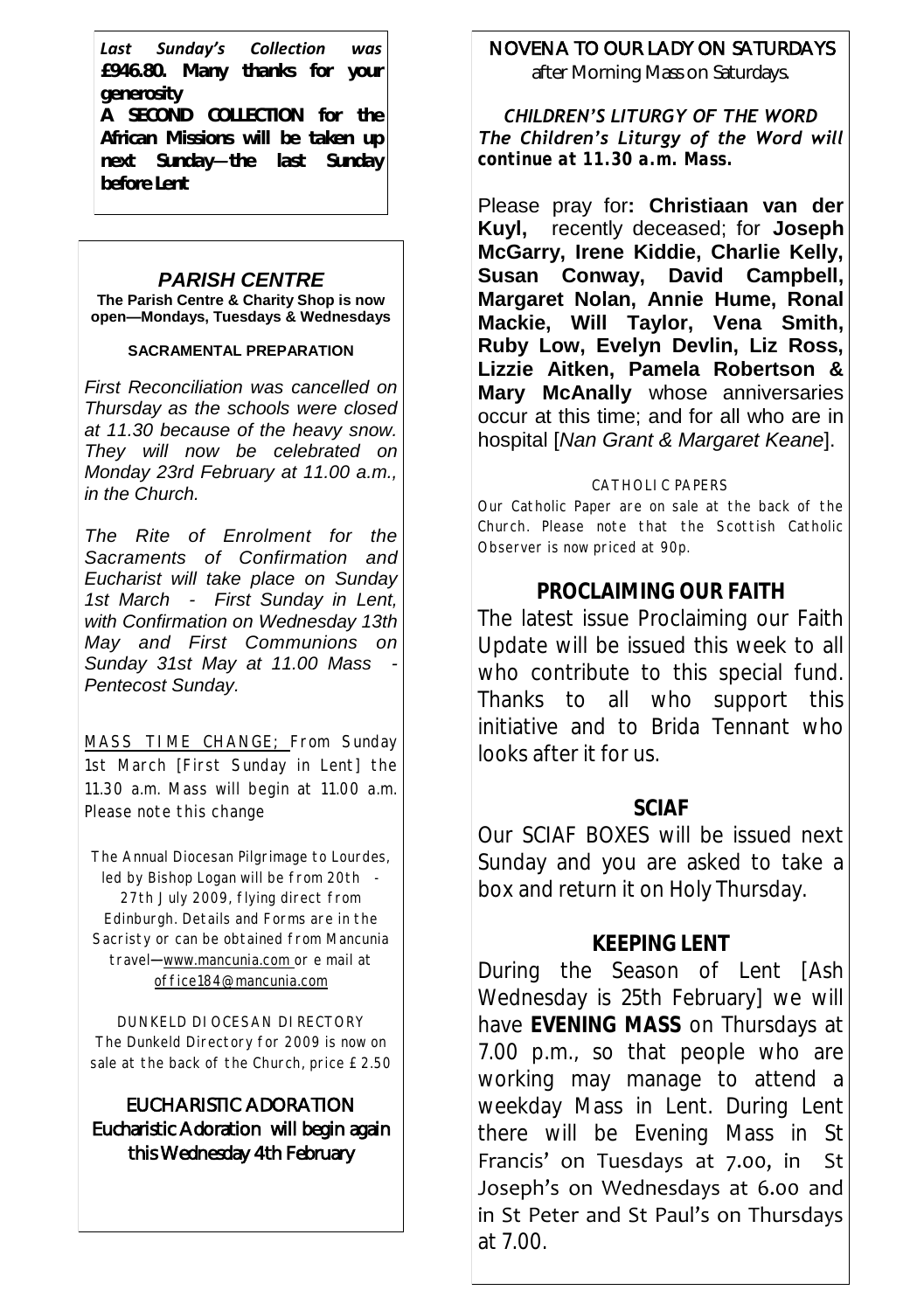*Last Sunday's Collection was £946.80. Many thanks for your generosity A SECOND COLLECTION for the African Missions will be taken up next Sunday—the last Sunday before Lent*

## *PARISH CENTRE*

**The Parish Centre & Charity Shop is now open—Mondays, Tuesdays & Wednesdays**

#### **SACRAMENTAL PREPARATION**

*First Reconciliation was cancelled on Thursday as the schools were closed at 11.30 because of the heavy snow. They will now be celebrated on Monday 23rd February at 11.00 a.m., in the Church.*

*The Rite of Enrolment for the Sacraments of Confirmation and Eucharist will take place on Sunday 1st March - First Sunday in Lent, with Confirmation on Wednesday 13th May and First Communions on Sunday 31st May at 11.00 Mass - Pentecost Sunday.*

MASS TIME CHANGE; From Sunday 1st March [First Sunday in Lent] the 11.30 a.m. Mass will begin at 11.00 a.m. Please note this change

The Annual Diocesan Pilgrimage to Lourdes, led by Bishop Logan will be from 20th - 27th July 2009, flying direct from Edinburgh. Details and Forms are in the Sacristy or can be obtained from Mancunia travel—www.mancunia.com or e mail at office184@mancunia.com

DUNKELD DIOCESAN DIRECTORY The Dunkeld Directory for 2009 is now on sale at the back of the Church, price £2.50

### EUCHARISTIC ADORATION Eucharistic Adoration will begin again this Wednesday 4th February

## NOVENA TO OUR LADY ON SATURDAYS

after Morning Mass on Saturdays.

*CHILDREN'S LITURGY OF THE WORD The Children's Liturgy of the Word will continue at 11.30 a.m. Mass.* 

Please pray for**: Christiaan van der Kuyl,** recently deceased; for **Joseph McGarry, Irene Kiddie, Charlie Kelly, Susan Conway, David Campbell, Margaret Nolan, Annie Hume, Ronal Mackie, Will Taylor, Vena Smith, Ruby Low, Evelyn Devlin, Liz Ross, Lizzie Aitken, Pamela Robertson & Mary McAnally** whose anniversaries occur at this time; and for all who are in hospital [*Nan Grant & Margaret Keane*].

#### CATHOLIC PAPERS

Our Catholic Paper are on sale at the back of the Church. Please note that the Scottish Catholic Observer is now priced at 90p.

## **PROCLAIMING OUR FAITH**

The latest issue Proclaiming our Faith Update will be issued this week to all who contribute to this special fund. Thanks to all who support this initiative and to Brida Tennant who looks after it for us.

### **SCIAF**

Our SCIAF BOXES will be issued next Sunday and you are asked to take a box and return it on Holy Thursday.

## **KEEPING LENT**

During the Season of Lent [Ash Wednesday is 25th February] we will have **EVENING MASS** on Thursdays at 7.00 p.m., so that people who are working may manage to attend a weekday Mass in Lent. During Lent there will be Evening Mass in St Francis' on Tuesdays at 7.00, in St Joseph's on Wednesdays at 6.00 and in St Peter and St Paul's on Thursdays at 7.00.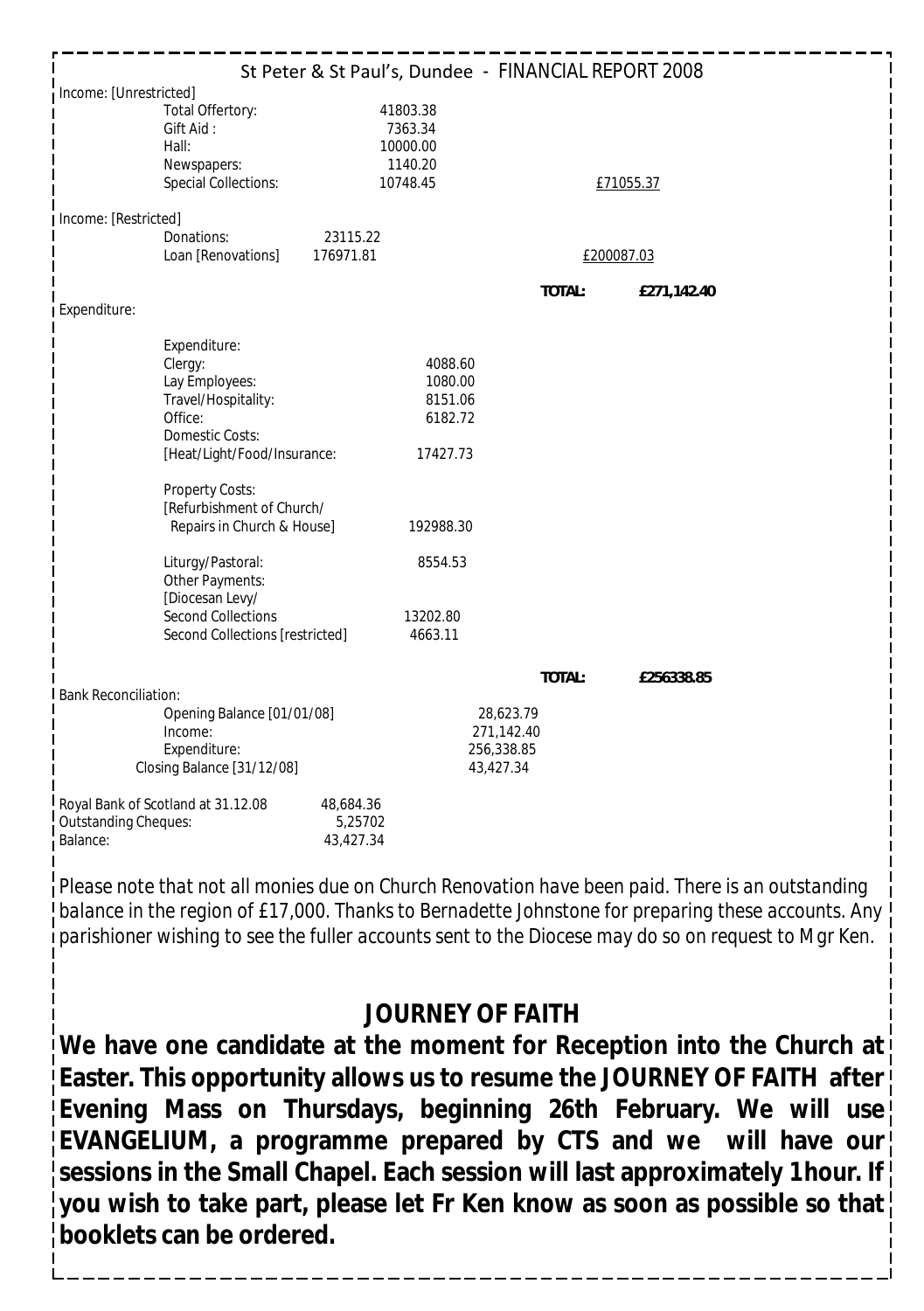| St Peter & St Paul's, Dundee - FINANCIAL REPORT 2008       |                                                       |           |                                                        |  |            |             |  |  |  |
|------------------------------------------------------------|-------------------------------------------------------|-----------|--------------------------------------------------------|--|------------|-------------|--|--|--|
| Income: [Unrestricted]                                     |                                                       |           |                                                        |  |            |             |  |  |  |
|                                                            | Total Offertory:<br>Gift Aid:<br>Hall:<br>Newspapers: |           | 41803.38<br>7363.34<br>10000.00<br>1140.20<br>10748.45 |  |            |             |  |  |  |
|                                                            | Special Collections:                                  |           |                                                        |  |            | £71055.37   |  |  |  |
| Income: [Restricted]                                       |                                                       |           |                                                        |  |            |             |  |  |  |
| Donations:                                                 |                                                       | 23115.22  |                                                        |  |            |             |  |  |  |
|                                                            | Loan [Renovations]<br>176971.81                       |           |                                                        |  | £200087.03 |             |  |  |  |
|                                                            |                                                       |           |                                                        |  | TOTAL:     | £271,142.40 |  |  |  |
| Expenditure:                                               |                                                       |           |                                                        |  |            |             |  |  |  |
|                                                            |                                                       |           |                                                        |  |            |             |  |  |  |
|                                                            | Expenditure:<br>Clergy:                               |           | 4088.60                                                |  |            |             |  |  |  |
|                                                            | Lay Employees:                                        |           | 1080.00                                                |  |            |             |  |  |  |
|                                                            | Travel/Hospitality:<br>Office:                        |           | 8151.06<br>6182.72                                     |  |            |             |  |  |  |
|                                                            | Domestic Costs:                                       |           |                                                        |  |            |             |  |  |  |
|                                                            | [Heat/Light/Food/Insurance:                           |           | 17427.73                                               |  |            |             |  |  |  |
|                                                            |                                                       |           |                                                        |  |            |             |  |  |  |
|                                                            | Property Costs:<br>[Refurbishment of Church/          |           |                                                        |  |            |             |  |  |  |
|                                                            | Repairs in Church & House]                            |           | 192988.30                                              |  |            |             |  |  |  |
|                                                            |                                                       |           |                                                        |  |            |             |  |  |  |
|                                                            | Liturgy/Pastoral:                                     |           | 8554.53                                                |  |            |             |  |  |  |
|                                                            | Other Payments:<br>[Diocesan Levy/                    |           |                                                        |  |            |             |  |  |  |
|                                                            | Second Collections                                    |           | 13202.80                                               |  |            |             |  |  |  |
|                                                            | Second Collections [restricted]                       |           | 4663.11                                                |  |            |             |  |  |  |
|                                                            |                                                       |           |                                                        |  |            |             |  |  |  |
|                                                            |                                                       |           |                                                        |  | TOTAL:     | £256338.85  |  |  |  |
| <b>Bank Reconciliation:</b>                                |                                                       |           |                                                        |  |            |             |  |  |  |
| Opening Balance [01/01/08]<br>Income:                      |                                                       |           | 28,623.79<br>271,142.40                                |  |            |             |  |  |  |
| Expenditure:                                               |                                                       |           | 256,338.85                                             |  |            |             |  |  |  |
| Closing Balance [31/12/08]                                 |                                                       |           | 43,427.34                                              |  |            |             |  |  |  |
|                                                            |                                                       | 48,684.36 |                                                        |  |            |             |  |  |  |
| Royal Bank of Scotland at 31.12.08<br>Outstanding Cheques: |                                                       | 5,25702   |                                                        |  |            |             |  |  |  |
| Balance:                                                   |                                                       | 43,427.34 |                                                        |  |            |             |  |  |  |

*Please note that not all monies due on Church Renovation have been paid. There is an outstanding balance in the region of £17,000. Thanks to Bernadette Johnstone for preparing these accounts. Any parishioner wishing to see the fuller accounts sent to the Diocese may do so on request to Mgr Ken.*

## **JOURNEY OF FAITH**

**We have one candidate at the moment for Reception into the Church at Easter. This opportunity allows us to resume the JOURNEY OF FAITH after Evening Mass on Thursdays, beginning 26th February. We will use EVANGELIUM, a programme prepared by CTS and we will have our sessions in the Small Chapel. Each session will last approximately 1 hour. If you wish to take part, please let Fr Ken know as soon as possible so that booklets can be ordered.**